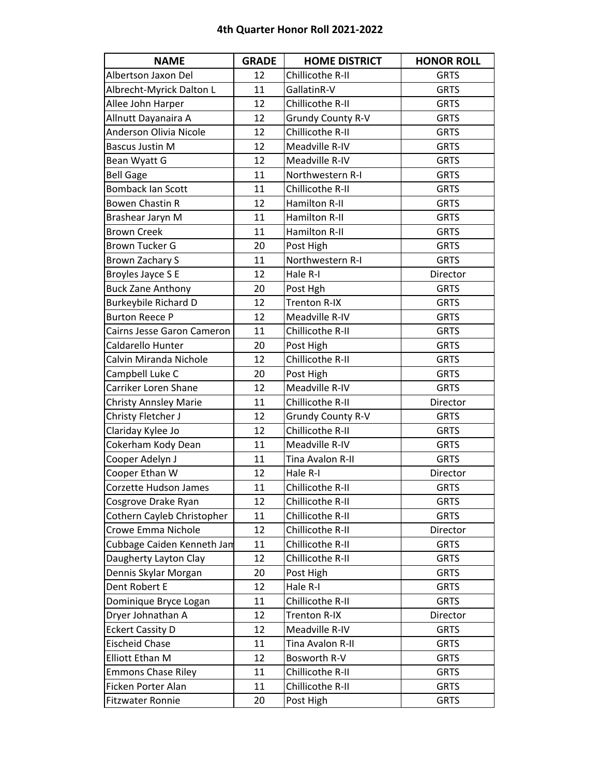| <b>NAME</b>                  | <b>GRADE</b> | <b>HOME DISTRICT</b>     | <b>HONOR ROLL</b> |
|------------------------------|--------------|--------------------------|-------------------|
| Albertson Jaxon Del          | 12           | Chillicothe R-II         | <b>GRTS</b>       |
| Albrecht-Myrick Dalton L     | 11           | GallatinR-V              | <b>GRTS</b>       |
| Allee John Harper            | 12           | Chillicothe R-II         | <b>GRTS</b>       |
| Allnutt Dayanaira A          | 12           | <b>Grundy County R-V</b> | <b>GRTS</b>       |
| Anderson Olivia Nicole       | 12           | Chillicothe R-II         | <b>GRTS</b>       |
| <b>Bascus Justin M</b>       | 12           | Meadville R-IV           | <b>GRTS</b>       |
| Bean Wyatt G                 | 12           | Meadville R-IV           | <b>GRTS</b>       |
| <b>Bell Gage</b>             | 11           | Northwestern R-I         | <b>GRTS</b>       |
| <b>Bomback Ian Scott</b>     | 11           | Chillicothe R-II         | <b>GRTS</b>       |
| <b>Bowen Chastin R</b>       | 12           | <b>Hamilton R-II</b>     | <b>GRTS</b>       |
| Brashear Jaryn M             | 11           | Hamilton R-II            | <b>GRTS</b>       |
| <b>Brown Creek</b>           | 11           | <b>Hamilton R-II</b>     | <b>GRTS</b>       |
| <b>Brown Tucker G</b>        | 20           | Post High                | <b>GRTS</b>       |
| Brown Zachary S              | 11           | Northwestern R-I         | <b>GRTS</b>       |
| Broyles Jayce S E            | 12           | Hale R-I                 | Director          |
| <b>Buck Zane Anthony</b>     | 20           | Post Hgh                 | <b>GRTS</b>       |
| <b>Burkeybile Richard D</b>  | 12           | <b>Trenton R-IX</b>      | <b>GRTS</b>       |
| <b>Burton Reece P</b>        | 12           | Meadville R-IV           | <b>GRTS</b>       |
| Cairns Jesse Garon Cameron   | 11           | Chillicothe R-II         | <b>GRTS</b>       |
| Caldarello Hunter            | 20           | Post High                | <b>GRTS</b>       |
| Calvin Miranda Nichole       | 12           | Chillicothe R-II         | <b>GRTS</b>       |
| Campbell Luke C              | 20           | Post High                | <b>GRTS</b>       |
| Carriker Loren Shane         | 12           | Meadville R-IV           | <b>GRTS</b>       |
| <b>Christy Annsley Marie</b> | 11           | Chillicothe R-II         | Director          |
| Christy Fletcher J           | 12           | <b>Grundy County R-V</b> | <b>GRTS</b>       |
| Clariday Kylee Jo            | 12           | Chillicothe R-II         | <b>GRTS</b>       |
| Cokerham Kody Dean           | 11           | Meadville R-IV           | <b>GRTS</b>       |
| Cooper Adelyn J              | 11           | Tina Avalon R-II         | <b>GRTS</b>       |
| Cooper Ethan W               | 12           | Hale R-I                 | Director          |
| <b>Corzette Hudson James</b> | 11           | Chillicothe R-II         | <b>GRTS</b>       |
| Cosgrove Drake Ryan          | 12           | Chillicothe R-II         | <b>GRTS</b>       |
| Cothern Cayleb Christopher   | 11           | Chillicothe R-II         | <b>GRTS</b>       |
| Crowe Emma Nichole           | 12           | Chillicothe R-II         | Director          |
| Cubbage Caiden Kenneth Jan   | 11           | Chillicothe R-II         | <b>GRTS</b>       |
| Daugherty Layton Clay        | 12           | Chillicothe R-II         | <b>GRTS</b>       |
| Dennis Skylar Morgan         | 20           | Post High                | <b>GRTS</b>       |
| Dent Robert E                | 12           | Hale R-I                 | <b>GRTS</b>       |
| Dominique Bryce Logan        | 11           | Chillicothe R-II         | <b>GRTS</b>       |
| Dryer Johnathan A            | 12           | <b>Trenton R-IX</b>      | Director          |
| <b>Eckert Cassity D</b>      | 12           | Meadville R-IV           | <b>GRTS</b>       |
| <b>Eischeid Chase</b>        | 11           | Tina Avalon R-II         | <b>GRTS</b>       |
| <b>Elliott Ethan M</b>       | 12           | Bosworth R-V             | <b>GRTS</b>       |
| <b>Emmons Chase Riley</b>    | 11           | Chillicothe R-II         | <b>GRTS</b>       |
| Ficken Porter Alan           | 11           | Chillicothe R-II         | <b>GRTS</b>       |
| <b>Fitzwater Ronnie</b>      | 20           | Post High                | <b>GRTS</b>       |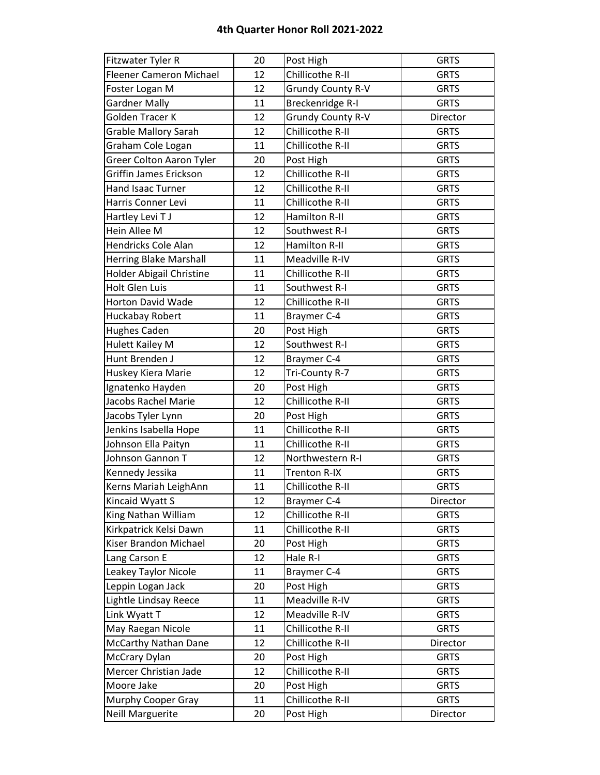| Fitzwater Tyler R               | 20 | Post High                | <b>GRTS</b> |
|---------------------------------|----|--------------------------|-------------|
| <b>Fleener Cameron Michael</b>  | 12 | Chillicothe R-II         | <b>GRTS</b> |
| Foster Logan M                  | 12 | <b>Grundy County R-V</b> | <b>GRTS</b> |
| <b>Gardner Mally</b>            | 11 | Breckenridge R-I         | <b>GRTS</b> |
| Golden Tracer K                 | 12 | <b>Grundy County R-V</b> | Director    |
| <b>Grable Mallory Sarah</b>     | 12 | Chillicothe R-II         | <b>GRTS</b> |
| Graham Cole Logan               | 11 | Chillicothe R-II         | <b>GRTS</b> |
| Greer Colton Aaron Tyler        | 20 | Post High                | <b>GRTS</b> |
| Griffin James Erickson          | 12 | Chillicothe R-II         | <b>GRTS</b> |
| Hand Isaac Turner               | 12 | Chillicothe R-II         | <b>GRTS</b> |
| Harris Conner Levi              | 11 | Chillicothe R-II         | <b>GRTS</b> |
| Hartley Levi TJ                 | 12 | Hamilton R-II            | <b>GRTS</b> |
| Hein Allee M                    | 12 | Southwest R-I            | <b>GRTS</b> |
| Hendricks Cole Alan             | 12 | Hamilton R-II            | <b>GRTS</b> |
| <b>Herring Blake Marshall</b>   | 11 | Meadville R-IV           | <b>GRTS</b> |
| <b>Holder Abigail Christine</b> | 11 | Chillicothe R-II         | <b>GRTS</b> |
| <b>Holt Glen Luis</b>           | 11 | Southwest R-I            | <b>GRTS</b> |
| <b>Horton David Wade</b>        | 12 | Chillicothe R-II         | <b>GRTS</b> |
| Huckabay Robert                 | 11 | Braymer C-4              | <b>GRTS</b> |
| <b>Hughes Caden</b>             | 20 | Post High                | <b>GRTS</b> |
| <b>Hulett Kailey M</b>          | 12 | Southwest R-I            | <b>GRTS</b> |
| Hunt Brenden J                  | 12 | Braymer C-4              | <b>GRTS</b> |
| Huskey Kiera Marie              | 12 | Tri-County R-7           | <b>GRTS</b> |
| Ignatenko Hayden                | 20 | Post High                | <b>GRTS</b> |
| Jacobs Rachel Marie             | 12 | Chillicothe R-II         | <b>GRTS</b> |
| Jacobs Tyler Lynn               | 20 | Post High                | <b>GRTS</b> |
| Jenkins Isabella Hope           | 11 | Chillicothe R-II         | <b>GRTS</b> |
| Johnson Ella Paityn             | 11 | Chillicothe R-II         | <b>GRTS</b> |
| Johnson Gannon T                | 12 | Northwestern R-I         | <b>GRTS</b> |
| Kennedy Jessika                 | 11 | <b>Trenton R-IX</b>      | <b>GRTS</b> |
| Kerns Mariah LeighAnn           | 11 | Chillicothe R-II         | <b>GRTS</b> |
| Kincaid Wyatt S                 | 12 | Braymer C-4              | Director    |
| King Nathan William             | 12 | Chillicothe R-II         | <b>GRTS</b> |
| Kirkpatrick Kelsi Dawn          | 11 | Chillicothe R-II         | <b>GRTS</b> |
| Kiser Brandon Michael           | 20 | Post High                | <b>GRTS</b> |
| Lang Carson E                   | 12 | Hale R-I                 | <b>GRTS</b> |
| Leakey Taylor Nicole            | 11 | Braymer C-4              | <b>GRTS</b> |
| Leppin Logan Jack               | 20 | Post High                | <b>GRTS</b> |
| Lightle Lindsay Reece           | 11 | Meadville R-IV           | <b>GRTS</b> |
| Link Wyatt T                    | 12 | Meadville R-IV           | <b>GRTS</b> |
| May Raegan Nicole               | 11 | Chillicothe R-II         | <b>GRTS</b> |
| McCarthy Nathan Dane            | 12 | Chillicothe R-II         | Director    |
| <b>McCrary Dylan</b>            | 20 | Post High                | <b>GRTS</b> |
| Mercer Christian Jade           | 12 | Chillicothe R-II         | <b>GRTS</b> |
| Moore Jake                      | 20 | Post High                | <b>GRTS</b> |
| Murphy Cooper Gray              | 11 | Chillicothe R-II         | <b>GRTS</b> |
| <b>Neill Marguerite</b>         | 20 | Post High                | Director    |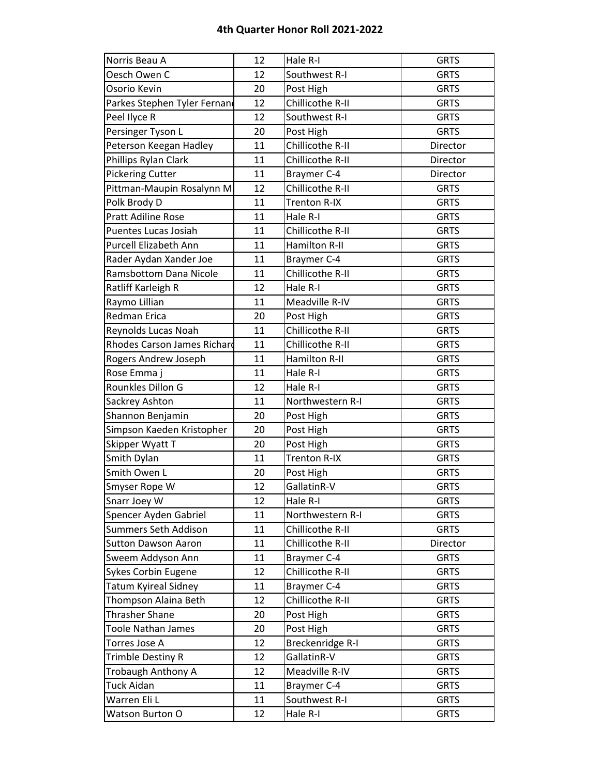| Norris Beau A                      | 12 | Hale R-I             | <b>GRTS</b> |
|------------------------------------|----|----------------------|-------------|
| Oesch Owen C                       | 12 | Southwest R-I        | <b>GRTS</b> |
| Osorio Kevin                       | 20 | Post High            | <b>GRTS</b> |
| Parkes Stephen Tyler Fernand       | 12 | Chillicothe R-II     | <b>GRTS</b> |
| Peel Ilyce R                       | 12 | Southwest R-I        | <b>GRTS</b> |
| Persinger Tyson L                  | 20 | Post High            | <b>GRTS</b> |
| Peterson Keegan Hadley             | 11 | Chillicothe R-II     | Director    |
| Phillips Rylan Clark               | 11 | Chillicothe R-II     | Director    |
| <b>Pickering Cutter</b>            | 11 | Braymer C-4          | Director    |
| Pittman-Maupin Rosalynn Mi         | 12 | Chillicothe R-II     | <b>GRTS</b> |
| Polk Brody D                       | 11 | Trenton R-IX         | <b>GRTS</b> |
| <b>Pratt Adiline Rose</b>          | 11 | Hale R-I             | <b>GRTS</b> |
| Puentes Lucas Josiah               | 11 | Chillicothe R-II     | <b>GRTS</b> |
| Purcell Elizabeth Ann              | 11 | <b>Hamilton R-II</b> | <b>GRTS</b> |
| Rader Aydan Xander Joe             | 11 | Braymer C-4          | <b>GRTS</b> |
| <b>Ramsbottom Dana Nicole</b>      | 11 | Chillicothe R-II     | <b>GRTS</b> |
| Ratliff Karleigh R                 | 12 | Hale R-I             | <b>GRTS</b> |
| Raymo Lillian                      | 11 | Meadville R-IV       | <b>GRTS</b> |
| <b>Redman Erica</b>                | 20 | Post High            | <b>GRTS</b> |
| Reynolds Lucas Noah                | 11 | Chillicothe R-II     | <b>GRTS</b> |
| <b>Rhodes Carson James Richard</b> | 11 | Chillicothe R-II     | <b>GRTS</b> |
| Rogers Andrew Joseph               | 11 | Hamilton R-II        | <b>GRTS</b> |
| Rose Emma j                        | 11 | Hale R-I             | <b>GRTS</b> |
| Rounkles Dillon G                  | 12 | Hale R-I             | <b>GRTS</b> |
| Sackrey Ashton                     | 11 | Northwestern R-I     | <b>GRTS</b> |
| Shannon Benjamin                   | 20 | Post High            | <b>GRTS</b> |
| Simpson Kaeden Kristopher          | 20 | Post High            | <b>GRTS</b> |
| Skipper Wyatt T                    | 20 | Post High            | <b>GRTS</b> |
| Smith Dylan                        | 11 | <b>Trenton R-IX</b>  | <b>GRTS</b> |
| Smith Owen L                       | 20 | Post High            | <b>GRTS</b> |
| Smyser Rope W                      | 12 | GallatinR-V          | <b>GRTS</b> |
| Snarr Joey W                       | 12 | Hale R-I             | <b>GRTS</b> |
| Spencer Ayden Gabriel              | 11 | Northwestern R-I     | <b>GRTS</b> |
| Summers Seth Addison               | 11 | Chillicothe R-II     | <b>GRTS</b> |
| <b>Sutton Dawson Aaron</b>         | 11 | Chillicothe R-II     | Director    |
| Sweem Addyson Ann                  | 11 | Braymer C-4          | <b>GRTS</b> |
| <b>Sykes Corbin Eugene</b>         | 12 | Chillicothe R-II     | <b>GRTS</b> |
| <b>Tatum Kyireal Sidney</b>        | 11 | <b>Braymer C-4</b>   | <b>GRTS</b> |
| Thompson Alaina Beth               | 12 | Chillicothe R-II     | <b>GRTS</b> |
| <b>Thrasher Shane</b>              | 20 | Post High            | <b>GRTS</b> |
| <b>Toole Nathan James</b>          | 20 | Post High            | <b>GRTS</b> |
| Torres Jose A                      | 12 | Breckenridge R-I     | <b>GRTS</b> |
| Trimble Destiny R                  | 12 | GallatinR-V          | <b>GRTS</b> |
| Trobaugh Anthony A                 | 12 | Meadville R-IV       | <b>GRTS</b> |
| <b>Tuck Aidan</b>                  | 11 | <b>Braymer C-4</b>   | <b>GRTS</b> |
| Warren Eli L                       | 11 | Southwest R-I        | <b>GRTS</b> |
| Watson Burton O                    | 12 | Hale R-I             | <b>GRTS</b> |